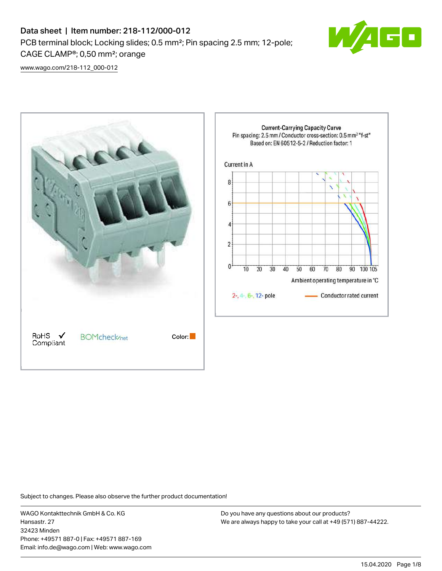# Data sheet | Item number: 218-112/000-012 PCB terminal block; Locking slides; 0.5 mm²; Pin spacing 2.5 mm; 12-pole; CAGE CLAMP®; 0,50 mm²; orange



[www.wago.com/218-112\\_000-012](http://www.wago.com/218-112_000-012)



Subject to changes. Please also observe the further product documentation!

WAGO Kontakttechnik GmbH & Co. KG Hansastr. 27 32423 Minden Phone: +49571 887-0 | Fax: +49571 887-169 Email: info.de@wago.com | Web: www.wago.com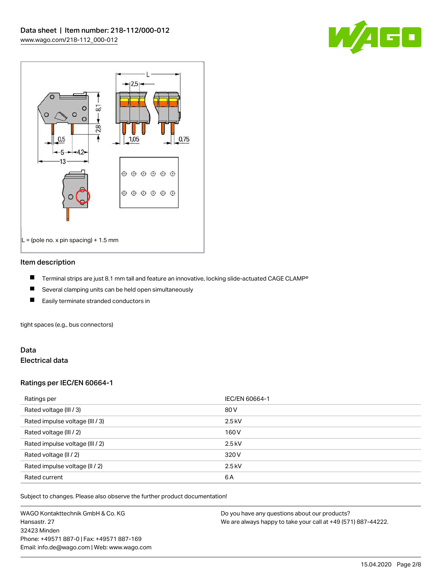



## Item description

- П Terminal strips are just 8.1 mm tall and feature an innovative, locking slide-actuated CAGE CLAMP®
- $\blacksquare$ Several clamping units can be held open simultaneously
- П Easily terminate stranded conductors in

tight spaces (e.g., bus connectors)

## Data Electrical data

## Ratings per IEC/EN 60664-1

| Ratings per                     | IEC/EN 60664-1 |
|---------------------------------|----------------|
| Rated voltage (III / 3)         | 80 V           |
| Rated impulse voltage (III / 3) | $2.5$ kV       |
| Rated voltage (III / 2)         | 160 V          |
| Rated impulse voltage (III / 2) | $2.5$ kV       |
| Rated voltage (II / 2)          | 320 V          |
| Rated impulse voltage (II / 2)  | $2.5$ kV       |
| Rated current                   | 6A             |

Subject to changes. Please also observe the further product documentation!

WAGO Kontakttechnik GmbH & Co. KG Hansastr. 27 32423 Minden Phone: +49571 887-0 | Fax: +49571 887-169 Email: info.de@wago.com | Web: www.wago.com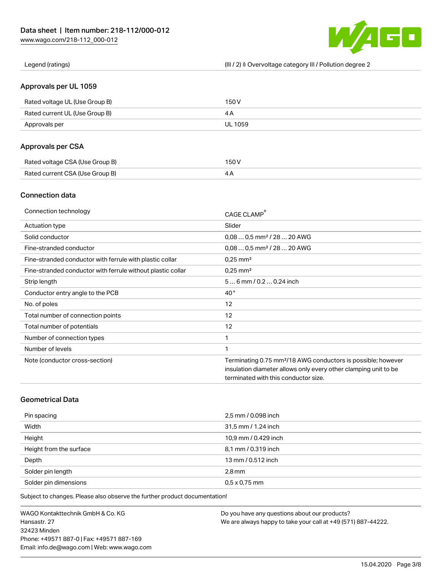

Legend (ratings) (III / 2) ≙ Overvoltage category III / Pollution degree 2

## Approvals per UL 1059

| Rated voltage UL (Use Group B) | 150 V   |
|--------------------------------|---------|
| Rated current UL (Use Group B) |         |
| Approvals per                  | UL 1059 |

# Approvals per CSA

| Rated voltage CSA (Use Group B) | 150 V |
|---------------------------------|-------|
| Rated current CSA (Use Group B) |       |

# Connection data

| Connection technology                                       | CAGE CLAMP®                                                              |
|-------------------------------------------------------------|--------------------------------------------------------------------------|
| Actuation type                                              | Slider                                                                   |
| Solid conductor                                             | $0.080.5$ mm <sup>2</sup> / 28  20 AWG                                   |
| Fine-stranded conductor                                     | $0.080.5$ mm <sup>2</sup> / 28  20 AWG                                   |
| Fine-stranded conductor with ferrule with plastic collar    | $0.25$ mm <sup>2</sup>                                                   |
| Fine-stranded conductor with ferrule without plastic collar | $0.25$ mm <sup>2</sup>                                                   |
| Strip length                                                | $56$ mm $/ 0.20.24$ inch                                                 |
| Conductor entry angle to the PCB                            | $40^{\circ}$                                                             |
| No. of poles                                                | 12                                                                       |
| Total number of connection points                           | 12                                                                       |
| Total number of potentials                                  | 12                                                                       |
| Number of connection types                                  | 1                                                                        |
| Number of levels                                            | 1                                                                        |
| Note (conductor cross-section)                              | Terminating 0.75 mm <sup>2</sup> /18 AWG conductors is possible; however |
|                                                             | insulation diameter allows only every other clamping unit to be          |
|                                                             | terminated with this conductor size.                                     |

# Geometrical Data

| Pin spacing             | 2,5 mm / 0.098 inch  |
|-------------------------|----------------------|
| Width                   | 31,5 mm / 1.24 inch  |
| Height                  | 10,9 mm / 0.429 inch |
| Height from the surface | 8,1 mm / 0.319 inch  |
| Depth                   | 13 mm / 0.512 inch   |
| Solder pin length       | $2.8$ mm             |
| Solder pin dimensions   | $0.5 \times 0.75$ mm |

Subject to changes. Please also observe the further product documentation!

WAGO Kontakttechnik GmbH & Co. KG Hansastr. 27 32423 Minden Phone: +49571 887-0 | Fax: +49571 887-169 Email: info.de@wago.com | Web: www.wago.com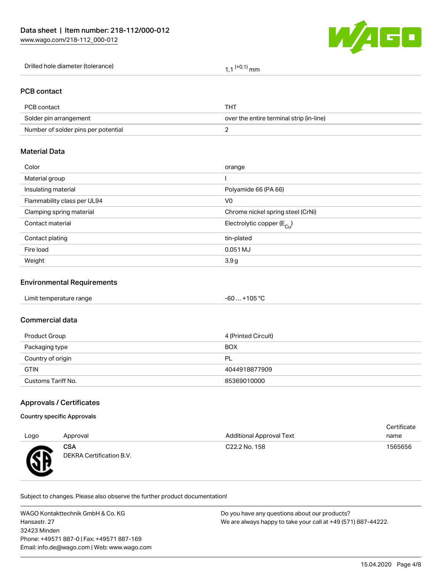

Drilled hole diameter (tolerance)  $1,1$   $(+0,1)$  mm

# PCB contact

| PCB contact                         | тнт                                      |
|-------------------------------------|------------------------------------------|
| Solder pin arrangement              | over the entire terminal strip (in-line) |
| Number of solder pins per potential |                                          |

## Material Data

| Color                       | orange                                 |
|-----------------------------|----------------------------------------|
| Material group              |                                        |
| Insulating material         | Polyamide 66 (PA 66)                   |
| Flammability class per UL94 | V <sub>0</sub>                         |
| Clamping spring material    | Chrome nickel spring steel (CrNi)      |
| Contact material            | Electrolytic copper (E <sub>Cu</sub> ) |
| Contact plating             | tin-plated                             |
| Fire load                   | 0.051 MJ                               |
| Weight                      | 3.9 g                                  |
|                             |                                        |

## Environmental Requirements

## Commercial data

| Product Group      | 4 (Printed Circuit) |
|--------------------|---------------------|
| Packaging type     | <b>BOX</b>          |
| Country of origin  | PL                  |
| <b>GTIN</b>        | 4044918877909       |
| Customs Tariff No. | 85369010000         |

## Approvals / Certificates

### Country specific Approvals

|      |                                 |                                 | Certificate |
|------|---------------------------------|---------------------------------|-------------|
| Logo | Approval                        | <b>Additional Approval Text</b> | name        |
| Æ    | CSA<br>DEKRA Certification B.V. | C22.2 No. 158                   | 1565656     |

Subject to changes. Please also observe the further product documentation!

WAGO Kontakttechnik GmbH & Co. KG Hansastr. 27 32423 Minden Phone: +49571 887-0 | Fax: +49571 887-169 Email: info.de@wago.com | Web: www.wago.com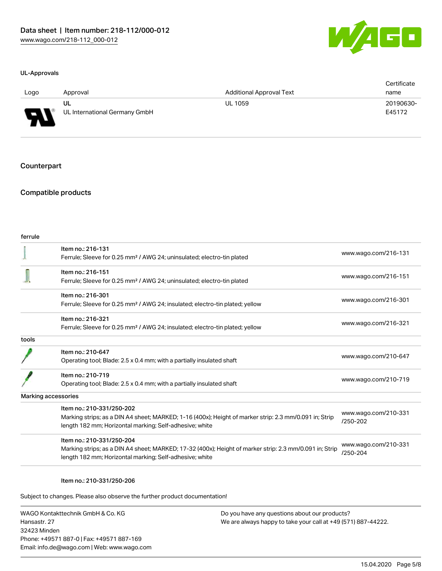

#### UL-Approvals

| Logo   | Approval                      | <b>Additional Approval Text</b> | Certificate<br>name |
|--------|-------------------------------|---------------------------------|---------------------|
|        | UL                            | <b>UL 1059</b>                  | 20190630-           |
| J<br>◡ | UL International Germany GmbH |                                 | E45172              |

## **Counterpart**

## Compatible products

| ferrule |                                                                                                                                                                                                 |                                  |
|---------|-------------------------------------------------------------------------------------------------------------------------------------------------------------------------------------------------|----------------------------------|
|         | Item no.: 216-131<br>Ferrule; Sleeve for 0.25 mm <sup>2</sup> / AWG 24; uninsulated; electro-tin plated                                                                                         | www.wago.com/216-131             |
|         | Item no.: 216-151<br>Ferrule; Sleeve for 0.25 mm <sup>2</sup> / AWG 24; uninsulated; electro-tin plated                                                                                         | www.wago.com/216-151             |
|         | Item no.: 216-301<br>Ferrule; Sleeve for 0.25 mm <sup>2</sup> / AWG 24; insulated; electro-tin plated; yellow                                                                                   | www.wago.com/216-301             |
|         | Item no.: 216-321<br>Ferrule; Sleeve for 0.25 mm <sup>2</sup> / AWG 24; insulated; electro-tin plated; yellow                                                                                   | www.wago.com/216-321             |
| tools   |                                                                                                                                                                                                 |                                  |
|         | Item no.: 210-647<br>Operating tool; Blade: 2.5 x 0.4 mm; with a partially insulated shaft                                                                                                      | www.wago.com/210-647             |
|         | Item no.: 210-719<br>Operating tool; Blade: 2.5 x 0.4 mm; with a partially insulated shaft                                                                                                      | www.wago.com/210-719             |
|         | Marking accessories                                                                                                                                                                             |                                  |
|         | Item no.: 210-331/250-202<br>Marking strips; as a DIN A4 sheet; MARKED; 1-16 (400x); Height of marker strip: 2.3 mm/0.091 in; Strip<br>length 182 mm; Horizontal marking; Self-adhesive; white  | www.wago.com/210-331<br>/250-202 |
|         | Item no.: 210-331/250-204<br>Marking strips; as a DIN A4 sheet; MARKED; 17-32 (400x); Height of marker strip: 2.3 mm/0.091 in; Strip<br>length 182 mm; Horizontal marking; Self-adhesive; white | www.wago.com/210-331<br>/250-204 |
|         |                                                                                                                                                                                                 |                                  |

#### Item no.: 210-331/250-206

Subject to changes. Please also observe the further product documentation!

WAGO Kontakttechnik GmbH & Co. KG Hansastr. 27 32423 Minden Phone: +49571 887-0 | Fax: +49571 887-169 Email: info.de@wago.com | Web: www.wago.com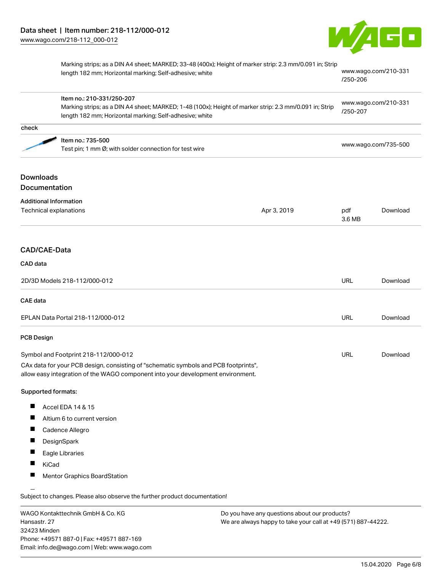

|                                   | Marking strips; as a DIN A4 sheet; MARKED; 33-48 (400x); Height of marker strip: 2.3 mm/0.091 in; Strip<br>length 182 mm; Horizontal marking; Self-adhesive; white<br>Item no.: 210-331/250-207<br>Marking strips; as a DIN A4 sheet; MARKED; 1-48 (100x); Height of marker strip: 2.3 mm/0.091 in; Strip<br>length 182 mm; Horizontal marking; Self-adhesive; white |             | www.wago.com/210-331<br>/250-206<br>www.wago.com/210-331<br>/250-207 |          |
|-----------------------------------|----------------------------------------------------------------------------------------------------------------------------------------------------------------------------------------------------------------------------------------------------------------------------------------------------------------------------------------------------------------------|-------------|----------------------------------------------------------------------|----------|
|                                   |                                                                                                                                                                                                                                                                                                                                                                      |             |                                                                      |          |
| check                             |                                                                                                                                                                                                                                                                                                                                                                      |             |                                                                      |          |
|                                   | Item no.: 735-500<br>Test pin; 1 mm Ø; with solder connection for test wire                                                                                                                                                                                                                                                                                          |             | www.wago.com/735-500                                                 |          |
| <b>Downloads</b><br>Documentation |                                                                                                                                                                                                                                                                                                                                                                      |             |                                                                      |          |
| <b>Additional Information</b>     |                                                                                                                                                                                                                                                                                                                                                                      |             |                                                                      |          |
| Technical explanations            |                                                                                                                                                                                                                                                                                                                                                                      | Apr 3, 2019 | pdf<br>3.6 MB                                                        | Download |
| CAD/CAE-Data                      |                                                                                                                                                                                                                                                                                                                                                                      |             |                                                                      |          |
| CAD data                          |                                                                                                                                                                                                                                                                                                                                                                      |             |                                                                      |          |
|                                   | 2D/3D Models 218-112/000-012                                                                                                                                                                                                                                                                                                                                         |             | <b>URL</b>                                                           | Download |
| <b>CAE</b> data                   |                                                                                                                                                                                                                                                                                                                                                                      |             |                                                                      |          |
|                                   | EPLAN Data Portal 218-112/000-012                                                                                                                                                                                                                                                                                                                                    |             | <b>URL</b>                                                           | Download |
| <b>PCB Design</b>                 |                                                                                                                                                                                                                                                                                                                                                                      |             |                                                                      |          |
|                                   | Symbol and Footprint 218-112/000-012                                                                                                                                                                                                                                                                                                                                 |             | URL                                                                  | Download |
|                                   | CAx data for your PCB design, consisting of "schematic symbols and PCB footprints",<br>allow easy integration of the WAGO component into your development environment.                                                                                                                                                                                               |             |                                                                      |          |
| Supported formats:                |                                                                                                                                                                                                                                                                                                                                                                      |             |                                                                      |          |
| Ш                                 | Accel EDA 14 & 15                                                                                                                                                                                                                                                                                                                                                    |             |                                                                      |          |
|                                   | Altium 6 to current version                                                                                                                                                                                                                                                                                                                                          |             |                                                                      |          |
| $\overline{\phantom{a}}$          | Cadence Allegro                                                                                                                                                                                                                                                                                                                                                      |             |                                                                      |          |
| DesignSpark                       |                                                                                                                                                                                                                                                                                                                                                                      |             |                                                                      |          |
| Eagle Libraries                   |                                                                                                                                                                                                                                                                                                                                                                      |             |                                                                      |          |
| KiCad                             |                                                                                                                                                                                                                                                                                                                                                                      |             |                                                                      |          |
|                                   | Mentor Graphics BoardStation                                                                                                                                                                                                                                                                                                                                         |             |                                                                      |          |
|                                   | Subject to changes. Please also observe the further product documentation!                                                                                                                                                                                                                                                                                           |             |                                                                      |          |
|                                   | WAGO Kontakttechnik GmbH & Co. KG<br>Do you have any questions about our products?                                                                                                                                                                                                                                                                                   |             |                                                                      |          |

WAGO Kontakttechnik GmbH & Co. KG Hansastr. 27 32423 Minden Phone: +49571 887-0 | Fax: +49571 887-169 Email: info.de@wago.com | Web: www.wago.com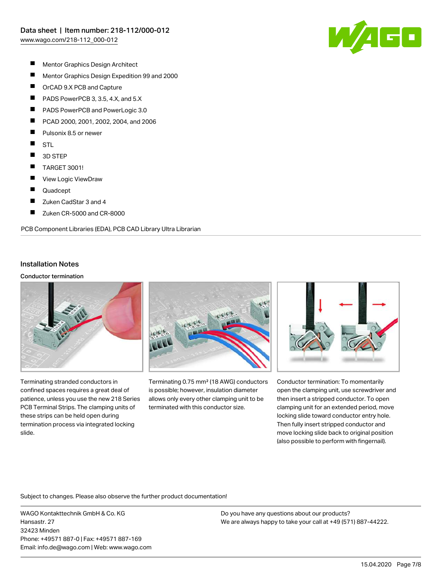

- $\blacksquare$ Mentor Graphics Design Architect
- $\blacksquare$ Mentor Graphics Design Expedition 99 and 2000
- $\blacksquare$ OrCAD 9.X PCB and Capture
- $\blacksquare$ PADS PowerPCB 3, 3.5, 4.X, and 5.X
- П PADS PowerPCB and PowerLogic 3.0
- П PCAD 2000, 2001, 2002, 2004, and 2006
- П Pulsonix 8.5 or newer
- $\blacksquare$ **STL**
- $\blacksquare$ 3D STEP
- $\blacksquare$ TARGET 3001!
- $\blacksquare$ View Logic ViewDraw
- П Quadcept
- П Zuken CadStar 3 and 4
- $\blacksquare$ Zuken CR-5000 and CR-8000

PCB Component Libraries (EDA), PCB CAD Library Ultra Librarian

## Installation Notes

### Conductor termination



Terminating stranded conductors in confined spaces requires a great deal of patience, unless you use the new 218 Series PCB Terminal Strips. The clamping units of these strips can be held open during termination process via integrated locking slide.



Terminating 0.75 mm² (18 AWG) conductors is possible; however, insulation diameter allows only every other clamping unit to be terminated with this conductor size.



Conductor termination: To momentarily open the clamping unit, use screwdriver and then insert a stripped conductor. To open clamping unit for an extended period, move locking slide toward conductor entry hole. Then fully insert stripped conductor and move locking slide back to original position (also possible to perform with fingernail).

Subject to changes. Please also observe the further product documentation!

WAGO Kontakttechnik GmbH & Co. KG Hansastr. 27 32423 Minden Phone: +49571 887-0 | Fax: +49571 887-169 Email: info.de@wago.com | Web: www.wago.com